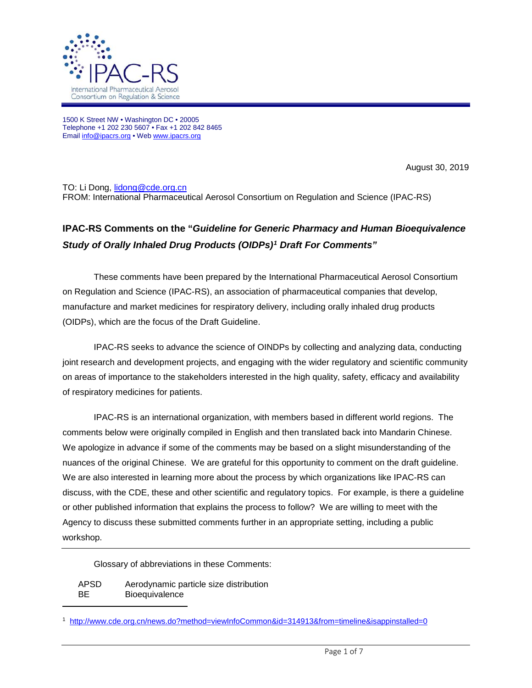

1500 K Street NW • Washington DC • 20005 Telephone +1 202 230 5607 • Fax +1 202 842 8465 Emai[l info@ipacrs.org](mailto:info@ipacrs.org) • We[b www.ipacrs.org](http://www.ipacrs.org/)

August 30, 2019

TO: Li Dong, [lidong@cde.org.cn](mailto:lidong@cde.org.cn) FROM: International Pharmaceutical Aerosol Consortium on Regulation and Science (IPAC-RS)

## **IPAC-RS Comments on the "***Guideline for Generic Pharmacy and Human Bioequivalence Study of Orally Inhaled Drug Products (OIDPs)[1](#page-0-0) Draft For Comments"*

These comments have been prepared by the International Pharmaceutical Aerosol Consortium on Regulation and Science (IPAC-RS), an association of pharmaceutical companies that develop, manufacture and market medicines for respiratory delivery, including orally inhaled drug products (OIDPs), which are the focus of the Draft Guideline.

IPAC-RS seeks to advance the science of OINDPs by collecting and analyzing data, conducting joint research and development projects, and engaging with the wider regulatory and scientific community on areas of importance to the stakeholders interested in the high quality, safety, efficacy and availability of respiratory medicines for patients.

IPAC-RS is an international organization, with members based in different world regions. The comments below were originally compiled in English and then translated back into Mandarin Chinese. We apologize in advance if some of the comments may be based on a slight misunderstanding of the nuances of the original Chinese. We are grateful for this opportunity to comment on the draft guideline. We are also interested in learning more about the process by which organizations like IPAC-RS can discuss, with the CDE, these and other scientific and regulatory topics. For example, is there a guideline or other published information that explains the process to follow? We are willing to meet with the Agency to discuss these submitted comments further in an appropriate setting, including a public workshop.

Glossary of abbreviations in these Comments:

| <b>APSD</b> | Aerodynamic particle size distribution |
|-------------|----------------------------------------|
| ВE          | <b>Bioequivalence</b>                  |

<span id="page-0-0"></span><sup>1</sup> <http://www.cde.org.cn/news.do?method=viewInfoCommon&id=314913&from=timeline&isappinstalled=0>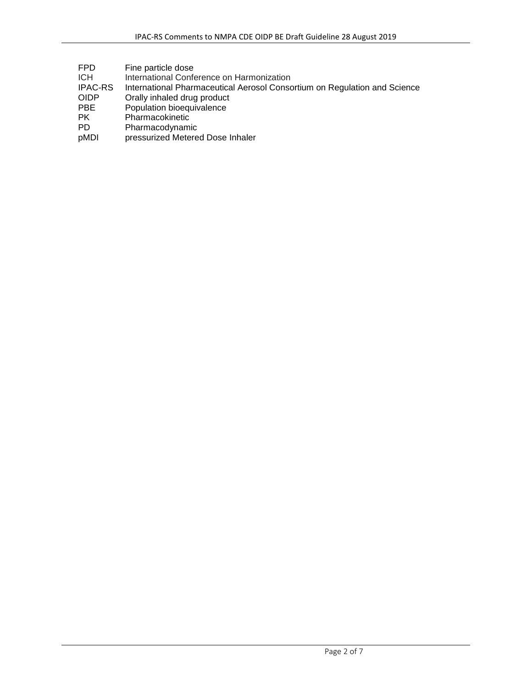| FPD<br>Fine particle dose |  |
|---------------------------|--|
|---------------------------|--|

- ICH International Conference on Harmonization<br>IPAC-RS International Pharmaceutical Aerosol Consc
- IPAC-RS International Pharmaceutical Aerosol Consortium on Regulation and Science
- OIDP Orally inhaled drug product<br>
PBE Population bioequivalence
- PBE Population bioequivalence
- PK Pharmacokinetic
- PD Pharmacodynamic
- pMDI pressurized Metered Dose Inhaler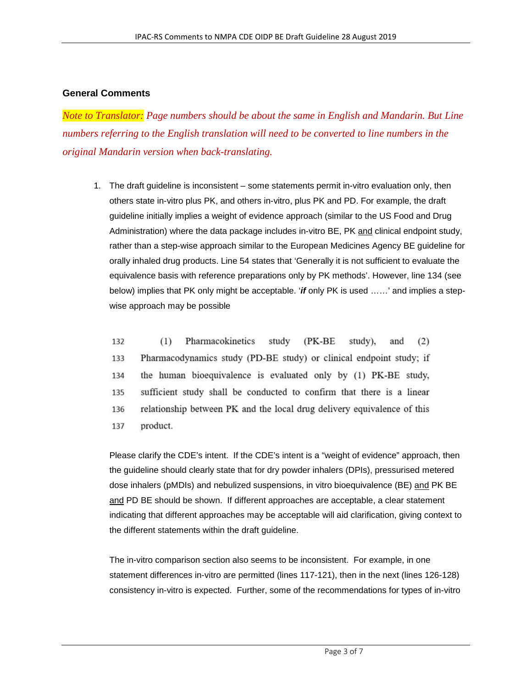## **General Comments**

*Note to Translator: Page numbers should be about the same in English and Mandarin. But Line numbers referring to the English translation will need to be converted to line numbers in the original Mandarin version when back-translating.* 

1. The draft guideline is inconsistent – some statements permit in-vitro evaluation only, then others state in-vitro plus PK, and others in-vitro, plus PK and PD. For example, the draft guideline initially implies a weight of evidence approach (similar to the US Food and Drug Administration) where the data package includes in-vitro BE, PK and clinical endpoint study, rather than a step-wise approach similar to the European Medicines Agency BE guideline for orally inhaled drug products. Line 54 states that 'Generally it is not sufficient to evaluate the equivalence basis with reference preparations only by PK methods'. However, line 134 (see below) implies that PK only might be acceptable. '*if* only PK is used ……' and implies a stepwise approach may be possible

132  $(1)$ Pharmacokinetics study (PK-BE) study). and  $(2)$ 133 Pharmacodynamics study (PD-BE study) or clinical endpoint study; if the human bioequivalence is evaluated only by (1) PK-BE study, 134 sufficient study shall be conducted to confirm that there is a linear 135 136 relationship between PK and the local drug delivery equivalence of this 137 product.

Please clarify the CDE's intent. If the CDE's intent is a "weight of evidence" approach, then the guideline should clearly state that for dry powder inhalers (DPIs), pressurised metered dose inhalers (pMDIs) and nebulized suspensions, in vitro bioequivalence (BE) and PK BE and PD BE should be shown. If different approaches are acceptable, a clear statement indicating that different approaches may be acceptable will aid clarification, giving context to the different statements within the draft guideline.

The in-vitro comparison section also seems to be inconsistent. For example, in one statement differences in-vitro are permitted (lines 117-121), then in the next (lines 126-128) consistency in-vitro is expected. Further, some of the recommendations for types of in-vitro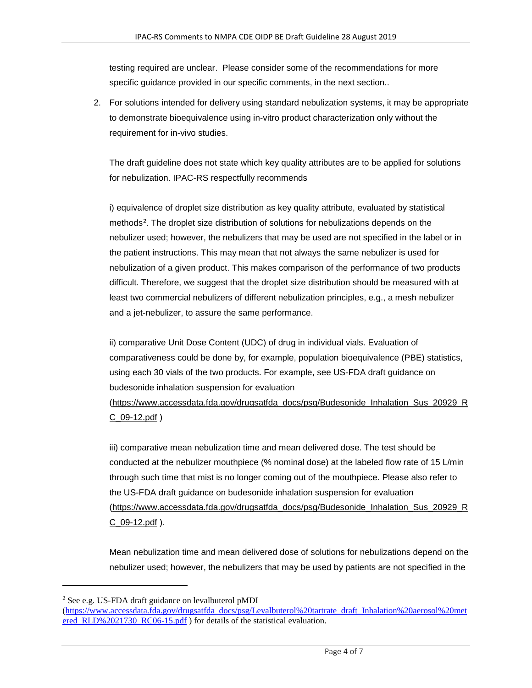testing required are unclear. Please consider some of the recommendations for more specific guidance provided in our specific comments, in the next section..

2. For solutions intended for delivery using standard nebulization systems, it may be appropriate to demonstrate bioequivalence using in-vitro product characterization only without the requirement for in-vivo studies.

The draft guideline does not state which key quality attributes are to be applied for solutions for nebulization. IPAC-RS respectfully recommends

i) equivalence of droplet size distribution as key quality attribute, evaluated by statistical methods[2](#page-3-0). The droplet size distribution of solutions for nebulizations depends on the nebulizer used; however, the nebulizers that may be used are not specified in the label or in the patient instructions. This may mean that not always the same nebulizer is used for nebulization of a given product. This makes comparison of the performance of two products difficult. Therefore, we suggest that the droplet size distribution should be measured with at least two commercial nebulizers of different nebulization principles, e.g., a mesh nebulizer and a jet-nebulizer, to assure the same performance.

ii) comparative Unit Dose Content (UDC) of drug in individual vials. Evaluation of comparativeness could be done by, for example, population bioequivalence (PBE) statistics, using each 30 vials of the two products. For example, see US-FDA draft guidance on budesonide inhalation suspension for evaluation [\(https://www.accessdata.fda.gov/drugsatfda\\_docs/psg/Budesonide\\_Inhalation\\_Sus\\_20929\\_R](https://www.accessdata.fda.gov/drugsatfda_docs/psg/Budesonide_Inhalation_Sus_20929_RC_09-12.pdf)

[C\\_09-12.pdf](https://www.accessdata.fda.gov/drugsatfda_docs/psg/Budesonide_Inhalation_Sus_20929_RC_09-12.pdf) )

iii) comparative mean nebulization time and mean delivered dose. The test should be conducted at the nebulizer mouthpiece (% nominal dose) at the labeled flow rate of 15 L/min through such time that mist is no longer coming out of the mouthpiece. Please also refer to the US-FDA draft guidance on budesonide inhalation suspension for evaluation [\(https://www.accessdata.fda.gov/drugsatfda\\_docs/psg/Budesonide\\_Inhalation\\_Sus\\_20929\\_R](https://www.accessdata.fda.gov/drugsatfda_docs/psg/Budesonide_Inhalation_Sus_20929_RC_09-12.pdf) [C\\_09-12.pdf](https://www.accessdata.fda.gov/drugsatfda_docs/psg/Budesonide_Inhalation_Sus_20929_RC_09-12.pdf) ).

Mean nebulization time and mean delivered dose of solutions for nebulizations depend on the nebulizer used; however, the nebulizers that may be used by patients are not specified in the

<span id="page-3-0"></span><sup>2</sup> See e.g. US-FDA draft guidance on levalbuterol pMDI

[<sup>\(</sup>https://www.accessdata.fda.gov/drugsatfda\\_docs/psg/Levalbuterol%20tartrate\\_draft\\_Inhalation%20aerosol%20met](https://www.accessdata.fda.gov/drugsatfda_docs/psg/Levalbuterol%20tartrate_draft_Inhalation%20aerosol%20metered_RLD%2021730_RC06-15.pdf) [ered\\_RLD%2021730\\_RC06-15.pdf](https://www.accessdata.fda.gov/drugsatfda_docs/psg/Levalbuterol%20tartrate_draft_Inhalation%20aerosol%20metered_RLD%2021730_RC06-15.pdf) ) for details of the statistical evaluation.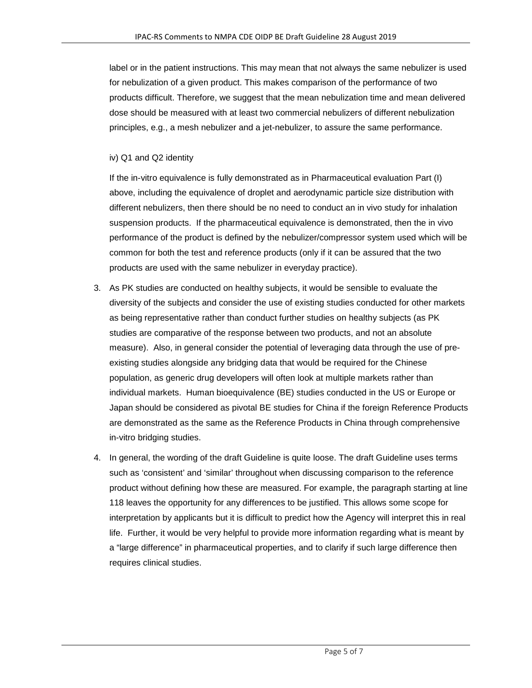label or in the patient instructions. This may mean that not always the same nebulizer is used for nebulization of a given product. This makes comparison of the performance of two products difficult. Therefore, we suggest that the mean nebulization time and mean delivered dose should be measured with at least two commercial nebulizers of different nebulization principles, e.g., a mesh nebulizer and a jet-nebulizer, to assure the same performance.

## iv) Q1 and Q2 identity

If the in-vitro equivalence is fully demonstrated as in Pharmaceutical evaluation Part (I) above, including the equivalence of droplet and aerodynamic particle size distribution with different nebulizers, then there should be no need to conduct an in vivo study for inhalation suspension products. If the pharmaceutical equivalence is demonstrated, then the in vivo performance of the product is defined by the nebulizer/compressor system used which will be common for both the test and reference products (only if it can be assured that the two products are used with the same nebulizer in everyday practice).

- 3. As PK studies are conducted on healthy subjects, it would be sensible to evaluate the diversity of the subjects and consider the use of existing studies conducted for other markets as being representative rather than conduct further studies on healthy subjects (as PK studies are comparative of the response between two products, and not an absolute measure). Also, in general consider the potential of leveraging data through the use of preexisting studies alongside any bridging data that would be required for the Chinese population, as generic drug developers will often look at multiple markets rather than individual markets. Human bioequivalence (BE) studies conducted in the US or Europe or Japan should be considered as pivotal BE studies for China if the foreign Reference Products are demonstrated as the same as the Reference Products in China through comprehensive in-vitro bridging studies.
- 4. In general, the wording of the draft Guideline is quite loose. The draft Guideline uses terms such as 'consistent' and 'similar' throughout when discussing comparison to the reference product without defining how these are measured. For example, the paragraph starting at line 118 leaves the opportunity for any differences to be justified. This allows some scope for interpretation by applicants but it is difficult to predict how the Agency will interpret this in real life. Further, it would be very helpful to provide more information regarding what is meant by a "large difference" in pharmaceutical properties, and to clarify if such large difference then requires clinical studies.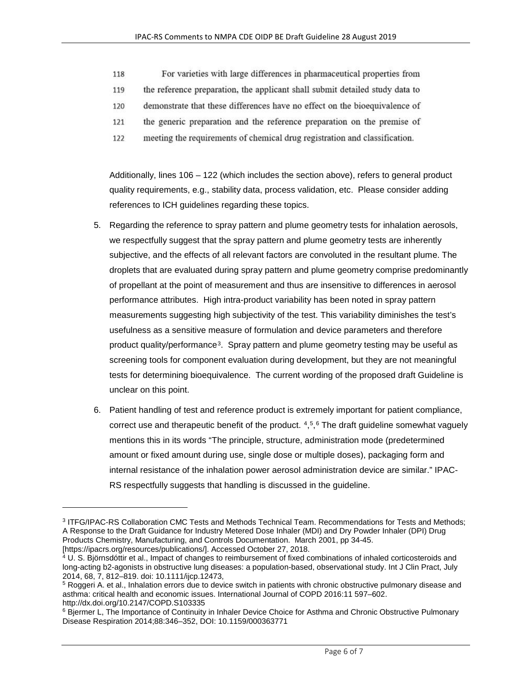- For varieties with large differences in pharmaceutical properties from 118
- 119 the reference preparation, the applicant shall submit detailed study data to
- demonstrate that these differences have no effect on the bioequivalence of 120
- the generic preparation and the reference preparation on the premise of 121
- meeting the requirements of chemical drug registration and classification. 122

Additionally, lines 106 – 122 (which includes the section above), refers to general product quality requirements, e.g., stability data, process validation, etc. Please consider adding references to ICH guidelines regarding these topics.

- 5. Regarding the reference to spray pattern and plume geometry tests for inhalation aerosols, we respectfully suggest that the spray pattern and plume geometry tests are inherently subjective, and the effects of all relevant factors are convoluted in the resultant plume. The droplets that are evaluated during spray pattern and plume geometry comprise predominantly of propellant at the point of measurement and thus are insensitive to differences in aerosol performance attributes. High intra-product variability has been noted in spray pattern measurements suggesting high subjectivity of the test. This variability diminishes the test's usefulness as a sensitive measure of formulation and device parameters and therefore product quality/performance[3](#page-5-0). Spray pattern and plume geometry testing may be useful as screening tools for component evaluation during development, but they are not meaningful tests for determining bioequivalence. The current wording of the proposed draft Guideline is unclear on this point.
- 6. Patient handling of test and reference product is extremely important for patient compliance, correct use and therapeutic benefit of the product. [4,](#page-5-1)[5](#page-5-2),[6](#page-5-3) The draft guideline somewhat vaguely mentions this in its words "The principle, structure, administration mode (predetermined amount or fixed amount during use, single dose or multiple doses), packaging form and internal resistance of the inhalation power aerosol administration device are similar." IPAC-RS respectfully suggests that handling is discussed in the guideline.

<span id="page-5-0"></span><sup>3</sup> ITFG/IPAC-RS Collaboration CMC Tests and Methods Technical Team. Recommendations for Tests and Methods; A Response to the Draft Guidance for Industry Metered Dose Inhaler (MDI) and Dry Powder Inhaler (DPI) Drug Products Chemistry, Manufacturing, and Controls Documentation. March 2001, pp 34-45. [https://ipacrs.org/resources/publications/]. Accessed October 27, 2018.

<span id="page-5-1"></span><sup>&</sup>lt;sup>4</sup> U. S. Björnsdóttir et al., Impact of changes to reimbursement of fixed combinations of inhaled corticosteroids and long-acting b2-agonists in obstructive lung diseases: a population-based, observational study. Int J Clin Pract, July 2014, 68, 7, 812–819. doi: 10.1111/ijcp.12473,

<span id="page-5-2"></span><sup>5</sup> Roggeri A. et al., Inhalation errors due to device switch in patients with chronic obstructive pulmonary disease and asthma: critical health and economic issues. International Journal of COPD 2016:11 597–602. http://dx.doi.org/10.2147/COPD.S103335

<span id="page-5-3"></span><sup>&</sup>lt;sup>6</sup> Bjermer L, The Importance of Continuity in Inhaler Device Choice for Asthma and Chronic Obstructive Pulmonary Disease Respiration 2014;88:346–352, DOI: 10.1159/000363771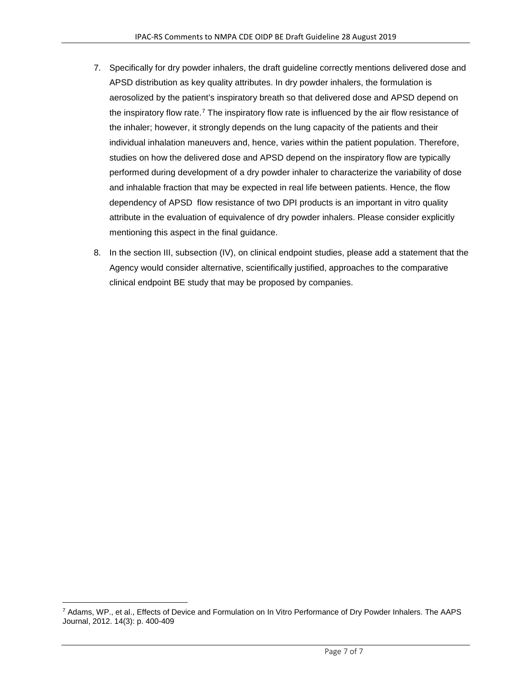- 7. Specifically for dry powder inhalers, the draft guideline correctly mentions delivered dose and APSD distribution as key quality attributes. In dry powder inhalers, the formulation is aerosolized by the patient's inspiratory breath so that delivered dose and APSD depend on the inspiratory flow rate.[7](#page-6-0) The inspiratory flow rate is influenced by the air flow resistance of the inhaler; however, it strongly depends on the lung capacity of the patients and their individual inhalation maneuvers and, hence, varies within the patient population. Therefore, studies on how the delivered dose and APSD depend on the inspiratory flow are typically performed during development of a dry powder inhaler to characterize the variability of dose and inhalable fraction that may be expected in real life between patients. Hence, the flow dependency of APSD flow resistance of two DPI products is an important in vitro quality attribute in the evaluation of equivalence of dry powder inhalers. Please consider explicitly mentioning this aspect in the final guidance.
- 8. In the section III, subsection (IV), on clinical endpoint studies, please add a statement that the Agency would consider alternative, scientifically justified, approaches to the comparative clinical endpoint BE study that may be proposed by companies.

<span id="page-6-0"></span><sup>7</sup> Adams, WP., et al., Effects of Device and Formulation on In Vitro Performance of Dry Powder Inhalers. The AAPS Journal, 2012. 14(3): p. 400-409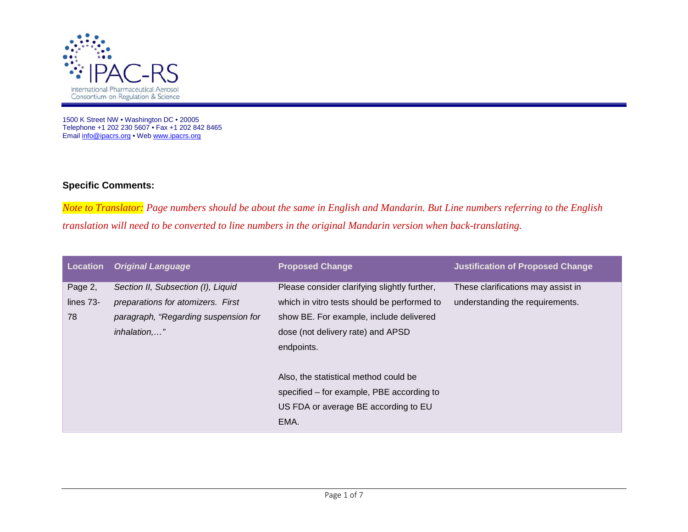

1500 K Street NW • Washington DC • 20005 Telephone +1 202 230 5607 • Fax +1 202 842 8465 Email <u>info@ipacrs.org</u> • We[b www.ipacrs.org](http://www.ipacrs.org/)

## **Specific Comments:**

*Note to Translator: Page numbers should be about the same in English and Mandarin. But Line numbers referring to the English translation will need to be converted to line numbers in the original Mandarin version when back-translating.* 

| Location  | <b>Original Language</b>             | <b>Proposed Change</b>                       | <b>Justification of Proposed Change</b> |
|-----------|--------------------------------------|----------------------------------------------|-----------------------------------------|
| Page 2,   | Section II, Subsection (I), Liquid   | Please consider clarifying slightly further, | These clarifications may assist in      |
| lines 73- | preparations for atomizers. First    | which in vitro tests should be performed to  | understanding the requirements.         |
| 78        | paragraph, "Regarding suspension for | show BE. For example, include delivered      |                                         |
|           | inhalation,"                         | dose (not delivery rate) and APSD            |                                         |
|           |                                      | endpoints.                                   |                                         |
|           |                                      | Also, the statistical method could be        |                                         |
|           |                                      | specified – for example, PBE according to    |                                         |
|           |                                      | US FDA or average BE according to EU         |                                         |
|           |                                      | EMA.                                         |                                         |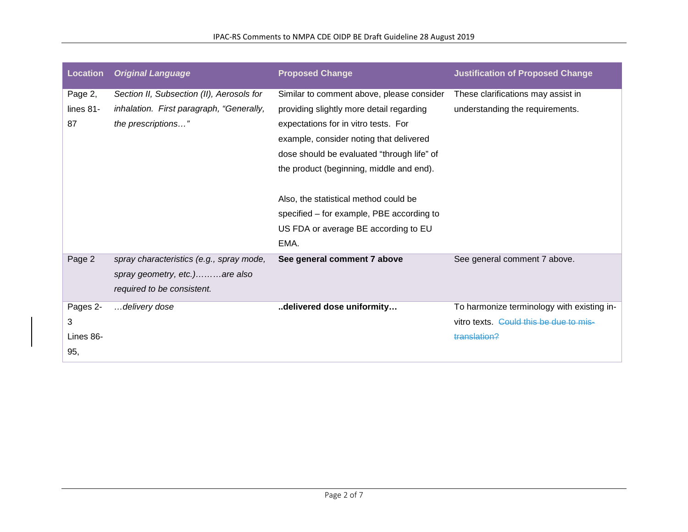| <b>Location</b> | <b>Original Language</b>                  | <b>Proposed Change</b>                     | <b>Justification of Proposed Change</b>    |
|-----------------|-------------------------------------------|--------------------------------------------|--------------------------------------------|
| Page 2,         | Section II, Subsection (II), Aerosols for | Similar to comment above, please consider  | These clarifications may assist in         |
| lines 81-       | inhalation. First paragraph, "Generally,  | providing slightly more detail regarding   | understanding the requirements.            |
| 87              | the prescriptions"                        | expectations for in vitro tests. For       |                                            |
|                 |                                           | example, consider noting that delivered    |                                            |
|                 |                                           | dose should be evaluated "through life" of |                                            |
|                 |                                           | the product (beginning, middle and end).   |                                            |
|                 |                                           | Also, the statistical method could be      |                                            |
|                 |                                           | specified – for example, PBE according to  |                                            |
|                 |                                           | US FDA or average BE according to EU       |                                            |
|                 |                                           | EMA.                                       |                                            |
| Page 2          | spray characteristics (e.g., spray mode,  | See general comment 7 above                | See general comment 7 above.               |
|                 | spray geometry, etc.)are also             |                                            |                                            |
|                 | required to be consistent.                |                                            |                                            |
| Pages 2-        | delivery dose                             | delivered dose uniformity                  | To harmonize terminology with existing in- |
| 3               |                                           |                                            | vitro texts. Could this be due to mis-     |
| Lines 86-       |                                           |                                            | translation?                               |
| 95,             |                                           |                                            |                                            |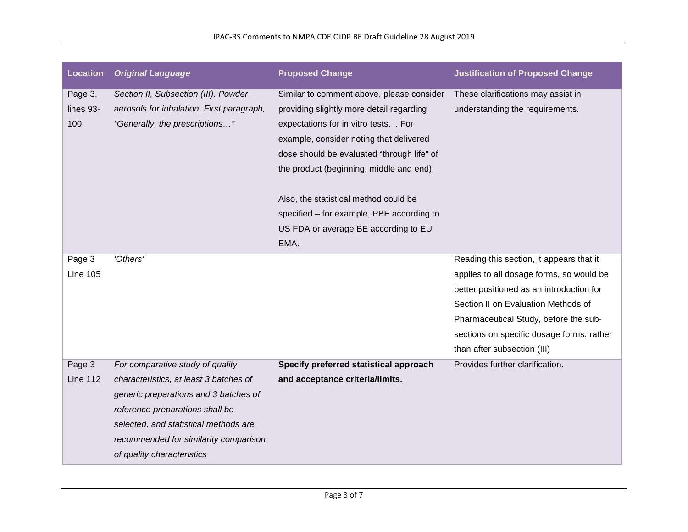| <b>Location</b>             | <b>Original Language</b>                                                                                                                                                                                                                                               | <b>Proposed Change</b>                                                                                                                                                                                                                                               | <b>Justification of Proposed Change</b>                                                                                                                                                                                                                                                      |
|-----------------------------|------------------------------------------------------------------------------------------------------------------------------------------------------------------------------------------------------------------------------------------------------------------------|----------------------------------------------------------------------------------------------------------------------------------------------------------------------------------------------------------------------------------------------------------------------|----------------------------------------------------------------------------------------------------------------------------------------------------------------------------------------------------------------------------------------------------------------------------------------------|
| Page 3,<br>lines 93-<br>100 | Section II, Subsection (III). Powder<br>aerosols for inhalation. First paragraph,<br>"Generally, the prescriptions"                                                                                                                                                    | Similar to comment above, please consider<br>providing slightly more detail regarding<br>expectations for in vitro tests. . For<br>example, consider noting that delivered<br>dose should be evaluated "through life" of<br>the product (beginning, middle and end). | These clarifications may assist in<br>understanding the requirements.                                                                                                                                                                                                                        |
|                             |                                                                                                                                                                                                                                                                        | Also, the statistical method could be<br>specified - for example, PBE according to<br>US FDA or average BE according to EU<br>EMA.                                                                                                                                   |                                                                                                                                                                                                                                                                                              |
| Page 3<br><b>Line 105</b>   | 'Others'                                                                                                                                                                                                                                                               |                                                                                                                                                                                                                                                                      | Reading this section, it appears that it<br>applies to all dosage forms, so would be<br>better positioned as an introduction for<br>Section II on Evaluation Methods of<br>Pharmaceutical Study, before the sub-<br>sections on specific dosage forms, rather<br>than after subsection (III) |
| Page 3<br><b>Line 112</b>   | For comparative study of quality<br>characteristics, at least 3 batches of<br>generic preparations and 3 batches of<br>reference preparations shall be<br>selected, and statistical methods are<br>recommended for similarity comparison<br>of quality characteristics | Specify preferred statistical approach<br>and acceptance criteria/limits.                                                                                                                                                                                            | Provides further clarification.                                                                                                                                                                                                                                                              |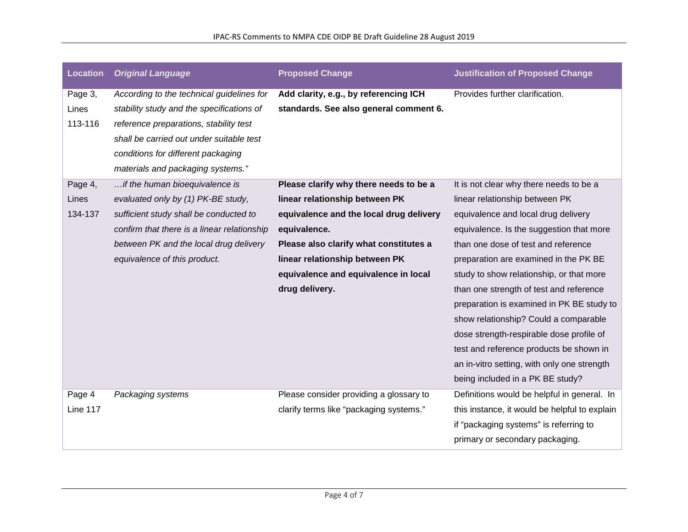| <b>Location</b> | <b>Original Language</b>                    | <b>Proposed Change</b>                  | <b>Justification of Proposed Change</b>       |
|-----------------|---------------------------------------------|-----------------------------------------|-----------------------------------------------|
| Page 3,         | According to the technical guidelines for   | Add clarity, e.g., by referencing ICH   | Provides further clarification.               |
| Lines           | stability study and the specifications of   | standards. See also general comment 6.  |                                               |
| 113-116         | reference preparations, stability test      |                                         |                                               |
|                 | shall be carried out under suitable test    |                                         |                                               |
|                 | conditions for different packaging          |                                         |                                               |
|                 | materials and packaging systems."           |                                         |                                               |
| Page 4,         | if the human bioequivalence is              | Please clarify why there needs to be a  | It is not clear why there needs to be a       |
| Lines           | evaluated only by (1) PK-BE study,          | linear relationship between PK          | linear relationship between PK                |
| 134-137         | sufficient study shall be conducted to      | equivalence and the local drug delivery | equivalence and local drug delivery           |
|                 | confirm that there is a linear relationship | equivalence.                            | equivalence. Is the suggestion that more      |
|                 | between PK and the local drug delivery      | Please also clarify what constitutes a  | than one dose of test and reference           |
|                 | equivalence of this product.                | linear relationship between PK          | preparation are examined in the PK BE         |
|                 |                                             | equivalence and equivalence in local    | study to show relationship, or that more      |
|                 |                                             | drug delivery.                          | than one strength of test and reference       |
|                 |                                             |                                         | preparation is examined in PK BE study to     |
|                 |                                             |                                         | show relationship? Could a comparable         |
|                 |                                             |                                         | dose strength-respirable dose profile of      |
|                 |                                             |                                         | test and reference products be shown in       |
|                 |                                             |                                         | an in-vitro setting, with only one strength   |
|                 |                                             |                                         | being included in a PK BE study?              |
| Page 4          | Packaging systems                           | Please consider providing a glossary to | Definitions would be helpful in general. In   |
| <b>Line 117</b> |                                             | clarify terms like "packaging systems." | this instance, it would be helpful to explain |
|                 |                                             |                                         | if "packaging systems" is referring to        |
|                 |                                             |                                         | primary or secondary packaging.               |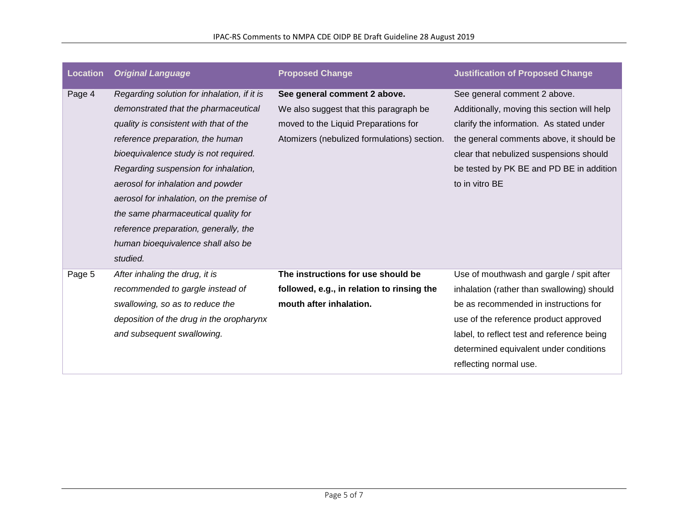| <b>Location</b> | <b>Original Language</b>                    | <b>Proposed Change</b>                      | <b>Justification of Proposed Change</b>     |
|-----------------|---------------------------------------------|---------------------------------------------|---------------------------------------------|
| Page 4          | Regarding solution for inhalation, if it is | See general comment 2 above.                | See general comment 2 above.                |
|                 | demonstrated that the pharmaceutical        | We also suggest that this paragraph be      | Additionally, moving this section will help |
|                 | quality is consistent with that of the      | moved to the Liquid Preparations for        | clarify the information. As stated under    |
|                 | reference preparation, the human            | Atomizers (nebulized formulations) section. | the general comments above, it should be    |
|                 | bioequivalence study is not required.       |                                             | clear that nebulized suspensions should     |
|                 | Regarding suspension for inhalation,        |                                             | be tested by PK BE and PD BE in addition    |
|                 | aerosol for inhalation and powder           |                                             | to in vitro BE                              |
|                 | aerosol for inhalation, on the premise of   |                                             |                                             |
|                 | the same pharmaceutical quality for         |                                             |                                             |
|                 | reference preparation, generally, the       |                                             |                                             |
|                 | human bioequivalence shall also be          |                                             |                                             |
|                 | studied.                                    |                                             |                                             |
| Page 5          | After inhaling the drug, it is              | The instructions for use should be          | Use of mouthwash and gargle / spit after    |
|                 | recommended to gargle instead of            | followed, e.g., in relation to rinsing the  | inhalation (rather than swallowing) should  |
|                 | swallowing, so as to reduce the             | mouth after inhalation.                     | be as recommended in instructions for       |
|                 | deposition of the drug in the oropharynx    |                                             | use of the reference product approved       |
|                 | and subsequent swallowing.                  |                                             | label, to reflect test and reference being  |
|                 |                                             |                                             | determined equivalent under conditions      |
|                 |                                             |                                             | reflecting normal use.                      |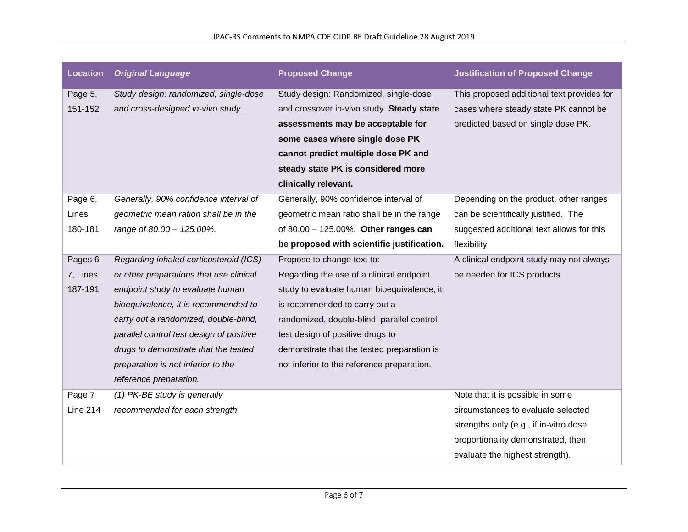| <b>Location</b> | <b>Original Language</b>                 | <b>Proposed Change</b>                     | <b>Justification of Proposed Change</b>    |
|-----------------|------------------------------------------|--------------------------------------------|--------------------------------------------|
| Page 5,         | Study design: randomized, single-dose    | Study design: Randomized, single-dose      | This proposed additional text provides for |
| 151-152         | and cross-designed in-vivo study.        | and crossover in-vivo study. Steady state  | cases where steady state PK cannot be      |
|                 |                                          | assessments may be acceptable for          | predicted based on single dose PK.         |
|                 |                                          | some cases where single dose PK            |                                            |
|                 |                                          | cannot predict multiple dose PK and        |                                            |
|                 |                                          | steady state PK is considered more         |                                            |
|                 |                                          | clinically relevant.                       |                                            |
| Page 6,         | Generally, 90% confidence interval of    | Generally, 90% confidence interval of      | Depending on the product, other ranges     |
| Lines           | geometric mean ration shall be in the    | geometric mean ratio shall be in the range | can be scientifically justified. The       |
| 180-181         | range of 80.00 - 125.00%.                | of 80.00 - 125.00%. Other ranges can       | suggested additional text allows for this  |
|                 |                                          | be proposed with scientific justification. | flexibility.                               |
| Pages 6-        | Regarding inhaled corticosteroid (ICS)   | Propose to change text to:                 | A clinical endpoint study may not always   |
| 7, Lines        | or other preparations that use clinical  | Regarding the use of a clinical endpoint   | be needed for ICS products.                |
| 187-191         | endpoint study to evaluate human         | study to evaluate human bioequivalence, it |                                            |
|                 | bioequivalence, it is recommended to     | is recommended to carry out a              |                                            |
|                 | carry out a randomized, double-blind,    | randomized, double-blind, parallel control |                                            |
|                 | parallel control test design of positive | test design of positive drugs to           |                                            |
|                 | drugs to demonstrate that the tested     | demonstrate that the tested preparation is |                                            |
|                 | preparation is not inferior to the       | not inferior to the reference preparation. |                                            |
|                 | reference preparation.                   |                                            |                                            |
| Page 7          | (1) PK-BE study is generally             |                                            | Note that it is possible in some           |
| <b>Line 214</b> | recommended for each strength            |                                            | circumstances to evaluate selected         |
|                 |                                          |                                            | strengths only (e.g., if in-vitro dose     |
|                 |                                          |                                            | proportionality demonstrated, then         |
|                 |                                          |                                            | evaluate the highest strength).            |